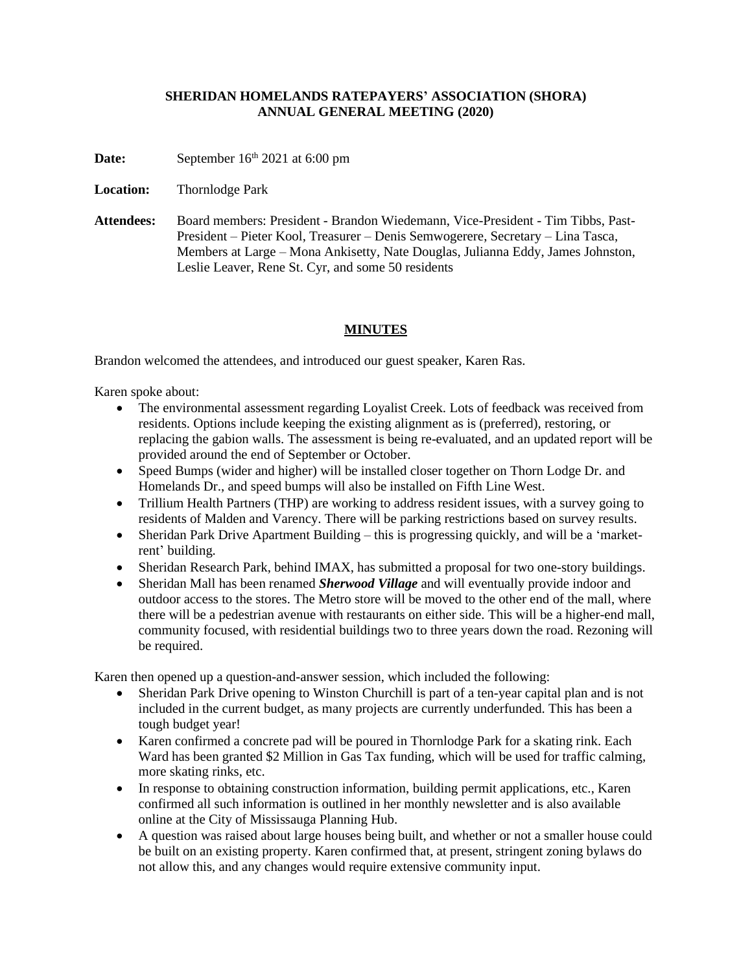## **SHERIDAN HOMELANDS RATEPAYERS' ASSOCIATION (SHORA) ANNUAL GENERAL MEETING (2020)**

**Date:** September 16<sup>th</sup> 2021 at 6:00 pm

**Location:** Thornlodge Park

**Attendees:** Board members: President - Brandon Wiedemann, Vice-President - Tim Tibbs, Past-President – Pieter Kool, Treasurer – Denis Semwogerere, Secretary – Lina Tasca, Members at Large – Mona Ankisetty, Nate Douglas, Julianna Eddy, James Johnston, Leslie Leaver, Rene St. Cyr, and some 50 residents

## **MINUTES**

Brandon welcomed the attendees, and introduced our guest speaker, Karen Ras.

Karen spoke about:

- The environmental assessment regarding Loyalist Creek. Lots of feedback was received from residents. Options include keeping the existing alignment as is (preferred), restoring, or replacing the gabion walls. The assessment is being re-evaluated, and an updated report will be provided around the end of September or October.
- Speed Bumps (wider and higher) will be installed closer together on Thorn Lodge Dr. and Homelands Dr., and speed bumps will also be installed on Fifth Line West.
- Trillium Health Partners (THP) are working to address resident issues, with a survey going to residents of Malden and Varency. There will be parking restrictions based on survey results.
- Sheridan Park Drive Apartment Building this is progressing quickly, and will be a 'marketrent' building.
- Sheridan Research Park, behind IMAX, has submitted a proposal for two one-story buildings.
- Sheridan Mall has been renamed *Sherwood Village* and will eventually provide indoor and outdoor access to the stores. The Metro store will be moved to the other end of the mall, where there will be a pedestrian avenue with restaurants on either side. This will be a higher-end mall, community focused, with residential buildings two to three years down the road. Rezoning will be required.

Karen then opened up a question-and-answer session, which included the following:

- Sheridan Park Drive opening to Winston Churchill is part of a ten-year capital plan and is not included in the current budget, as many projects are currently underfunded. This has been a tough budget year!
- Karen confirmed a concrete pad will be poured in Thornlodge Park for a skating rink. Each Ward has been granted \$2 Million in Gas Tax funding, which will be used for traffic calming, more skating rinks, etc.
- In response to obtaining construction information, building permit applications, etc., Karen confirmed all such information is outlined in her monthly newsletter and is also available online at the City of Mississauga Planning Hub.
- A question was raised about large houses being built, and whether or not a smaller house could be built on an existing property. Karen confirmed that, at present, stringent zoning bylaws do not allow this, and any changes would require extensive community input.